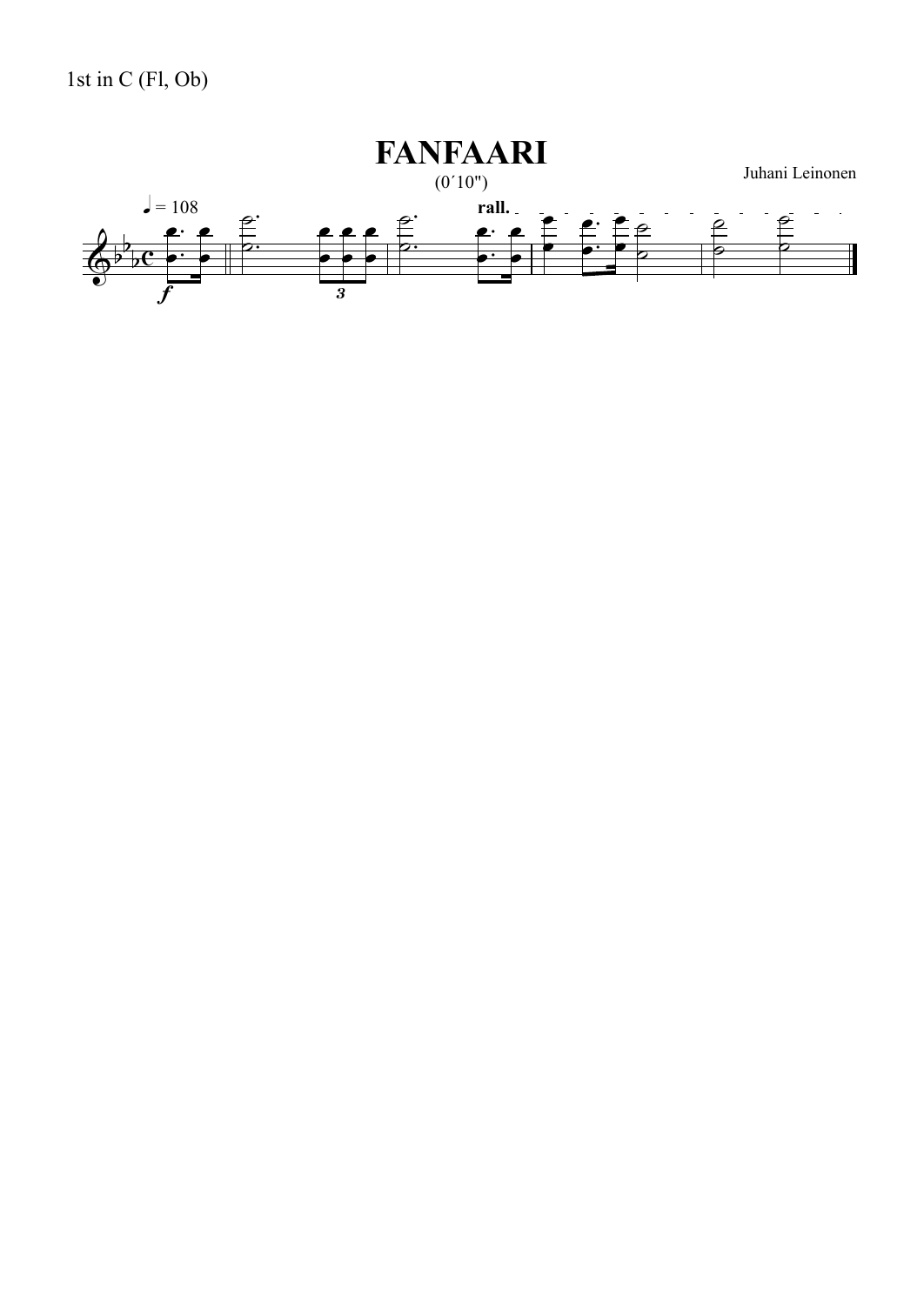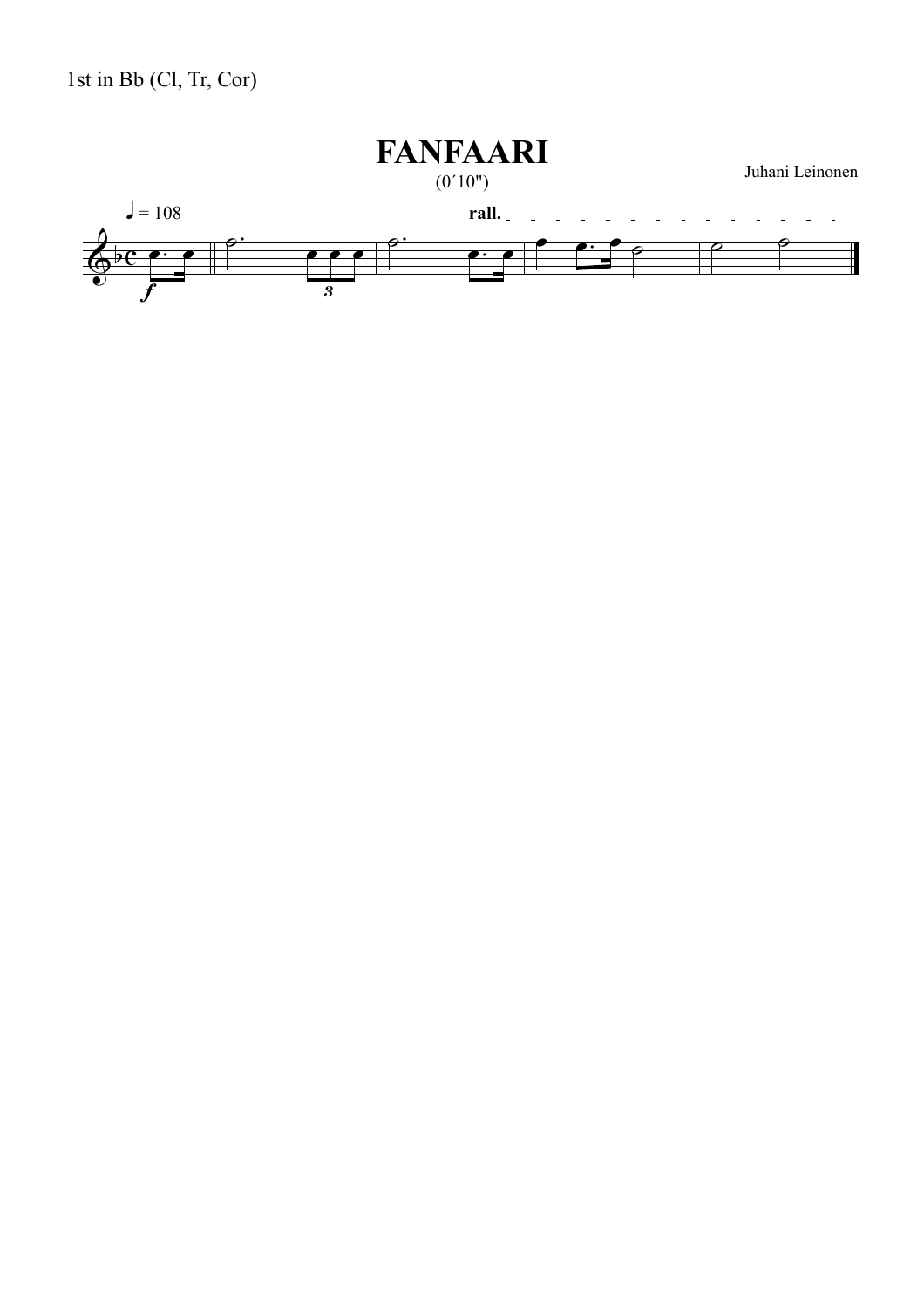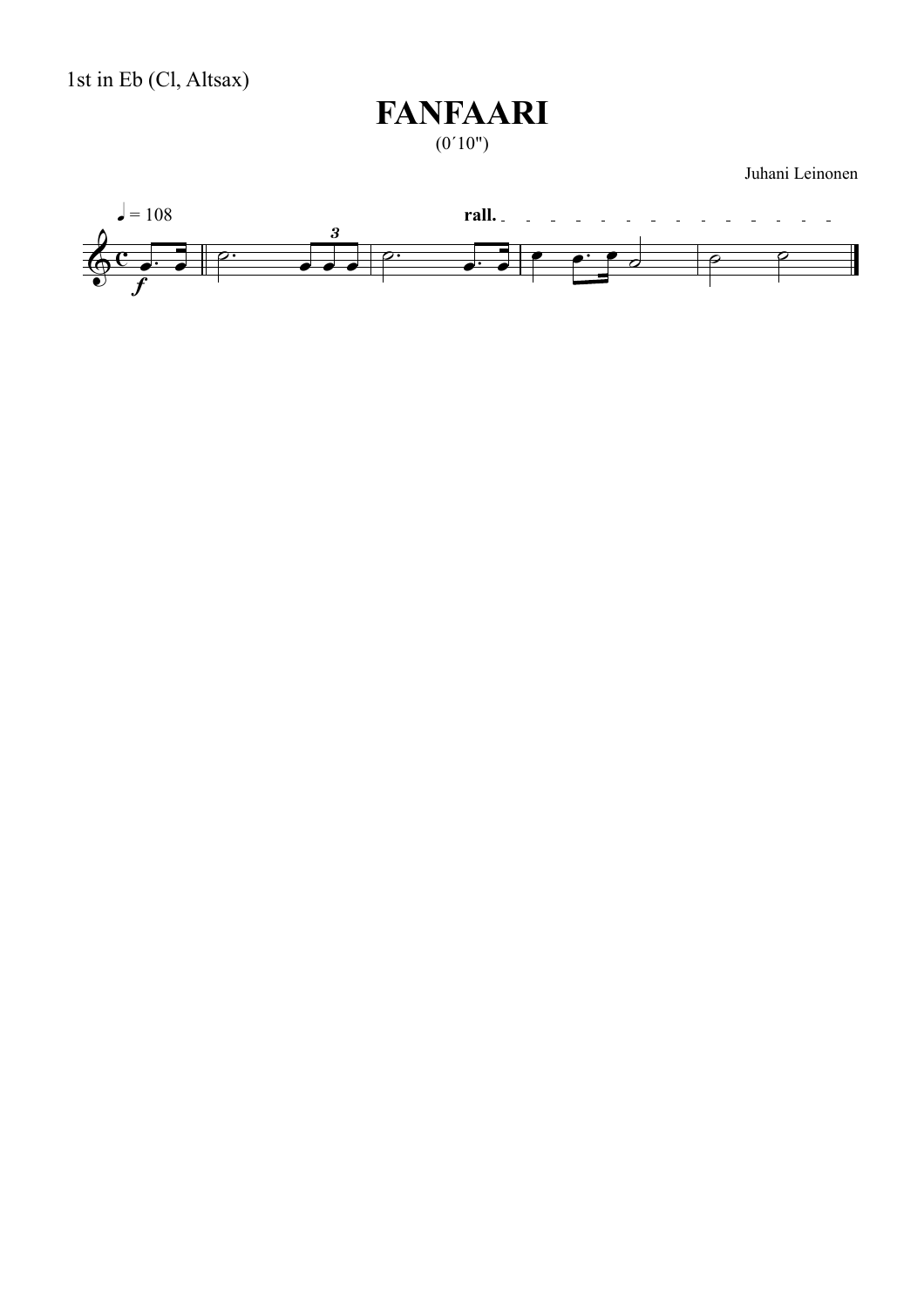

 $(0'10")$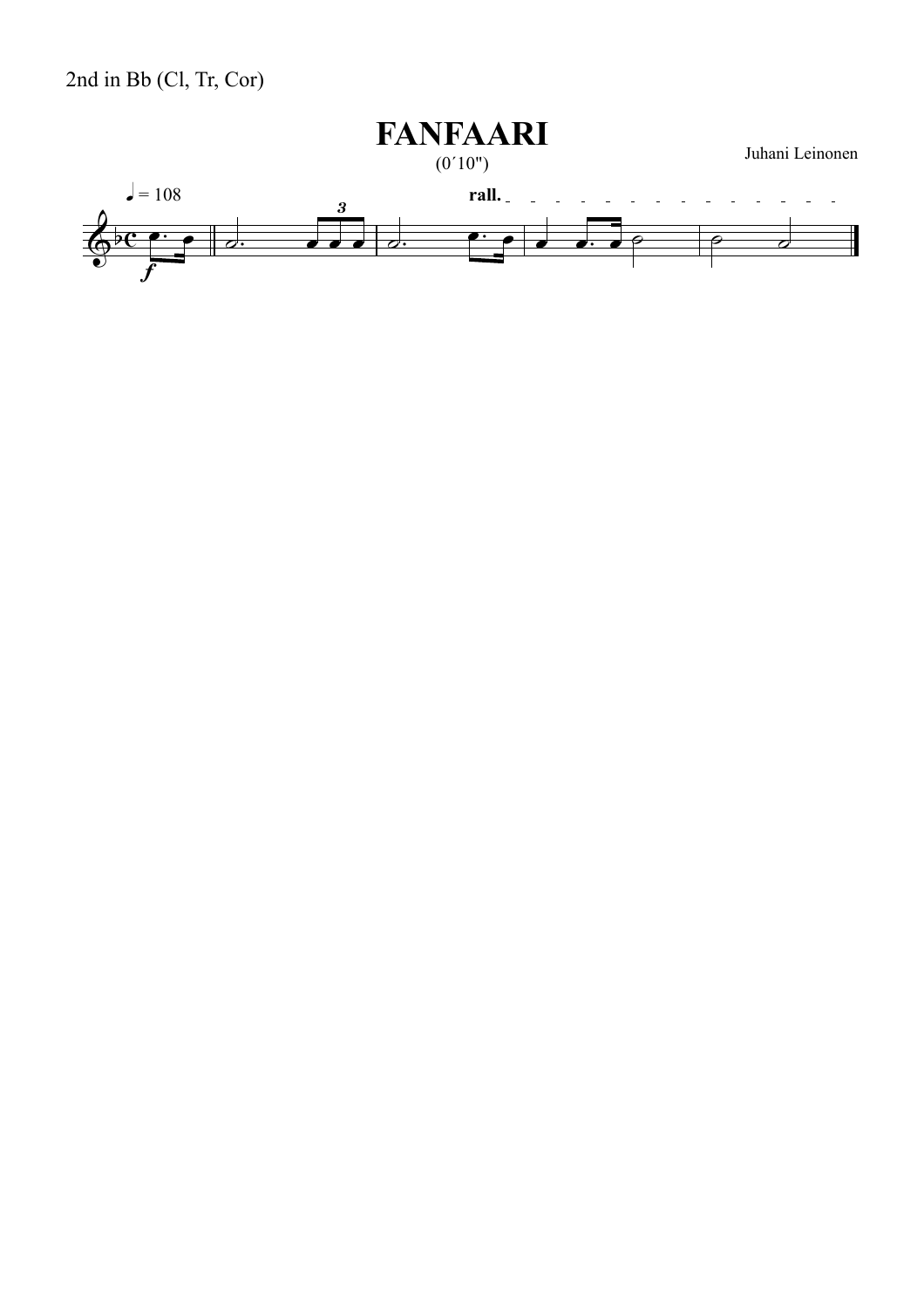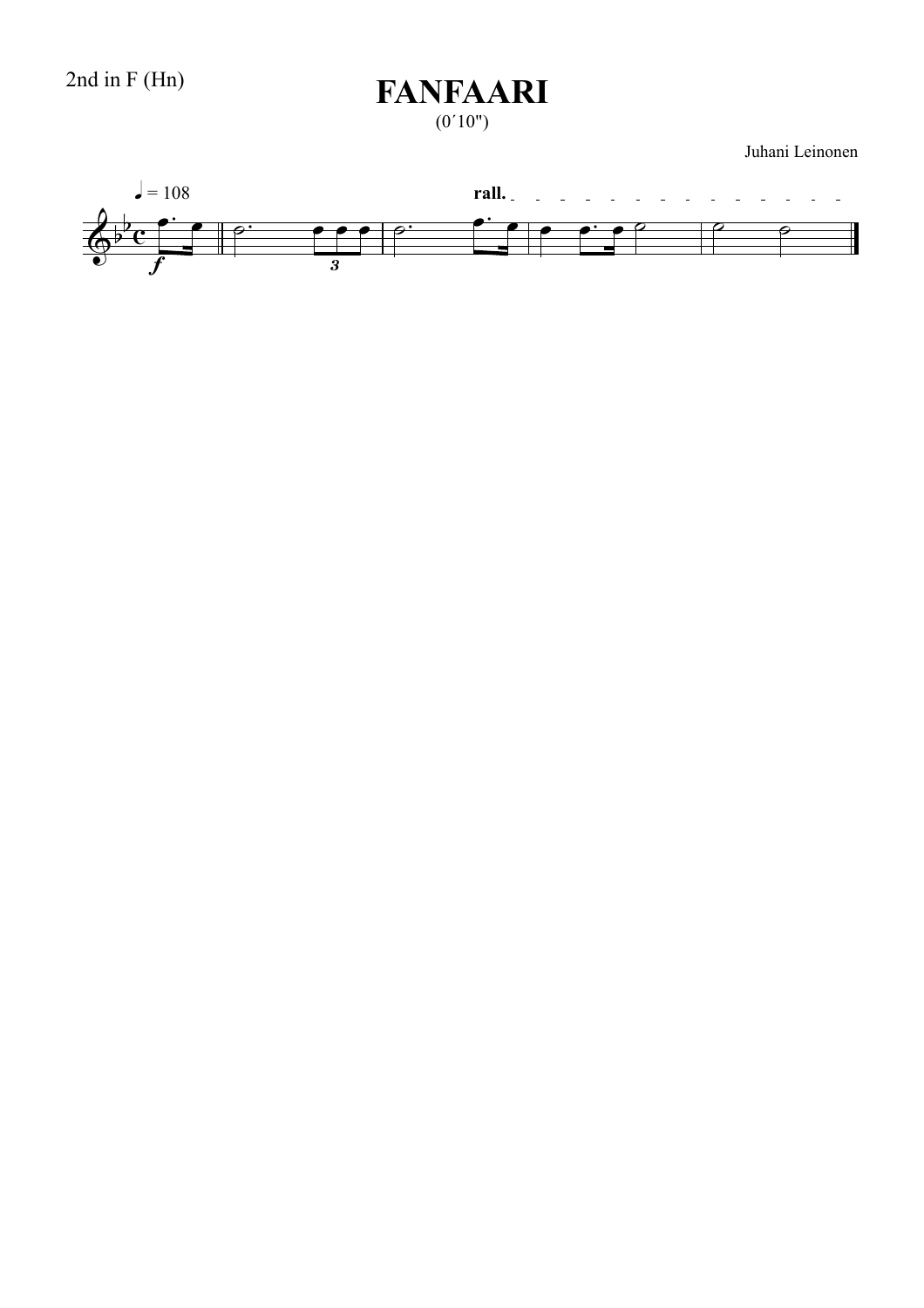$(0'10")$ 

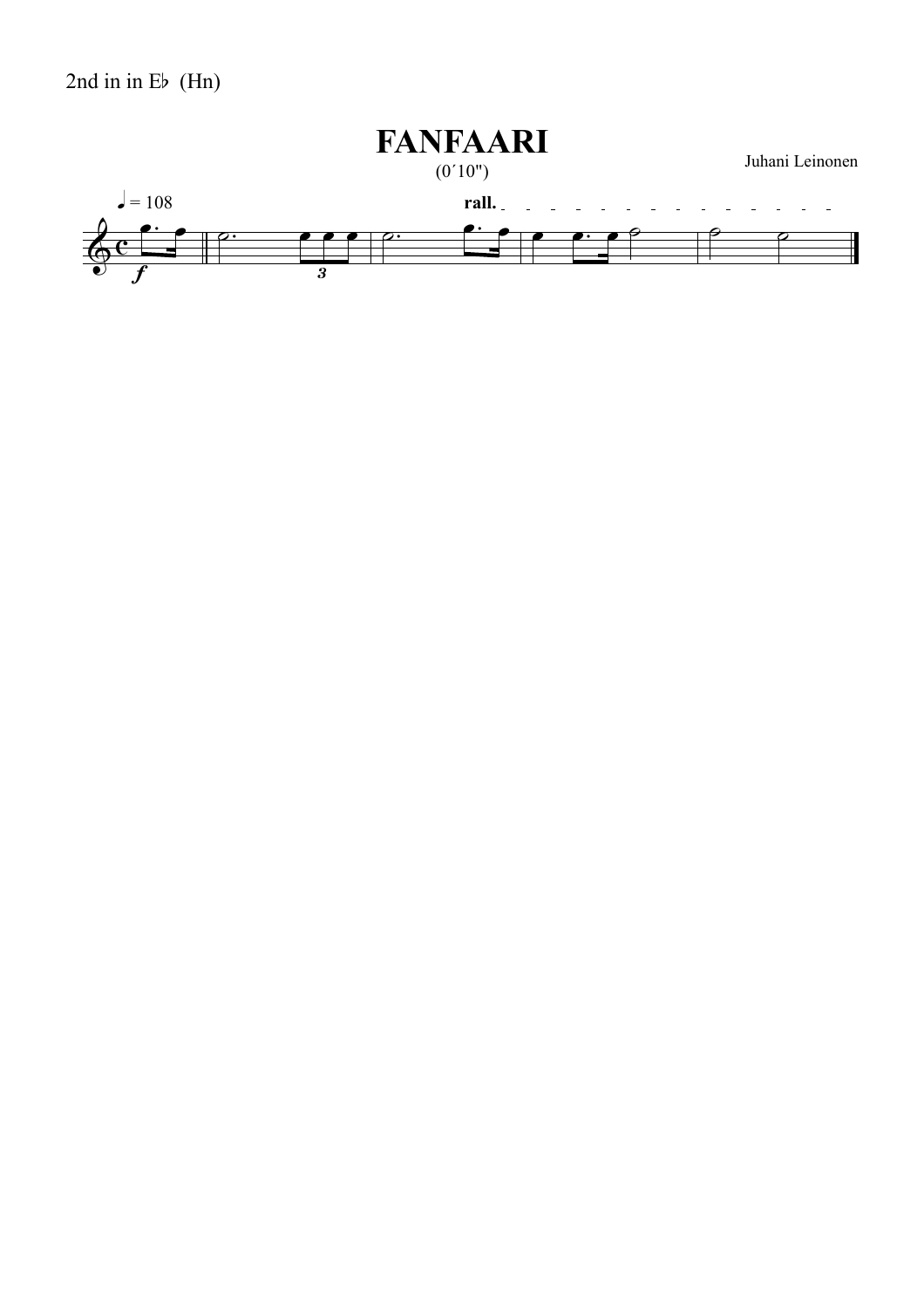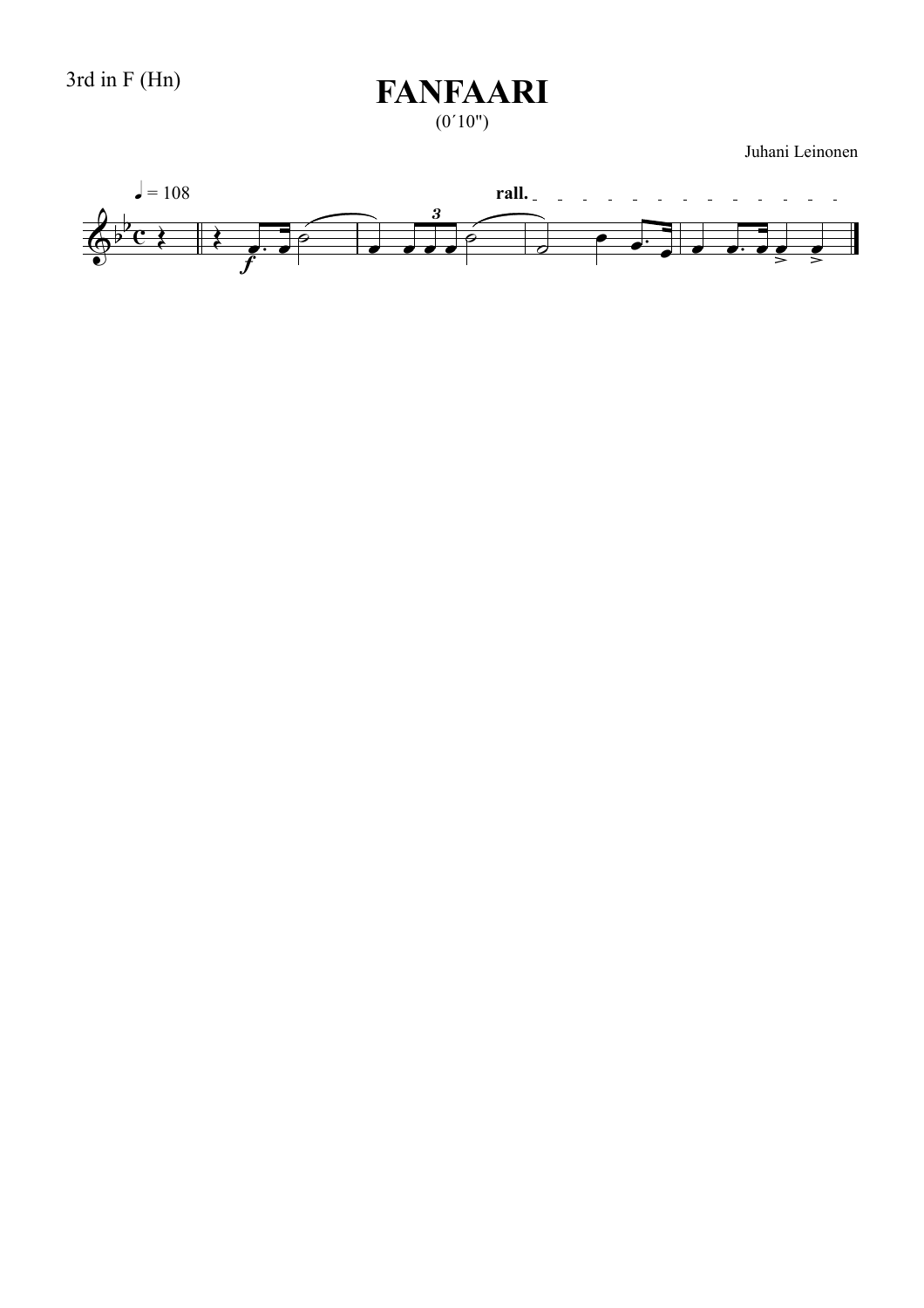$(0'10")$ 

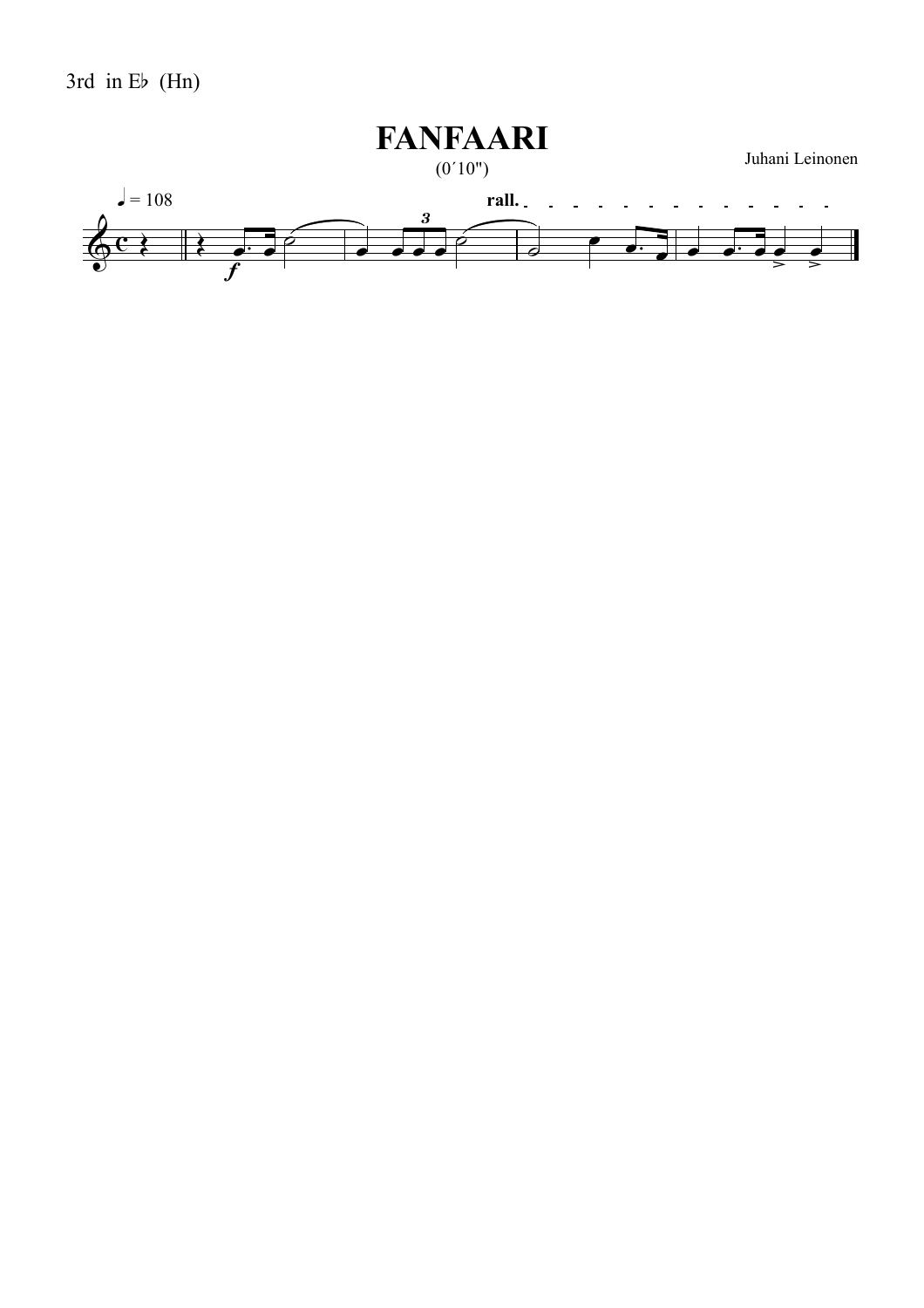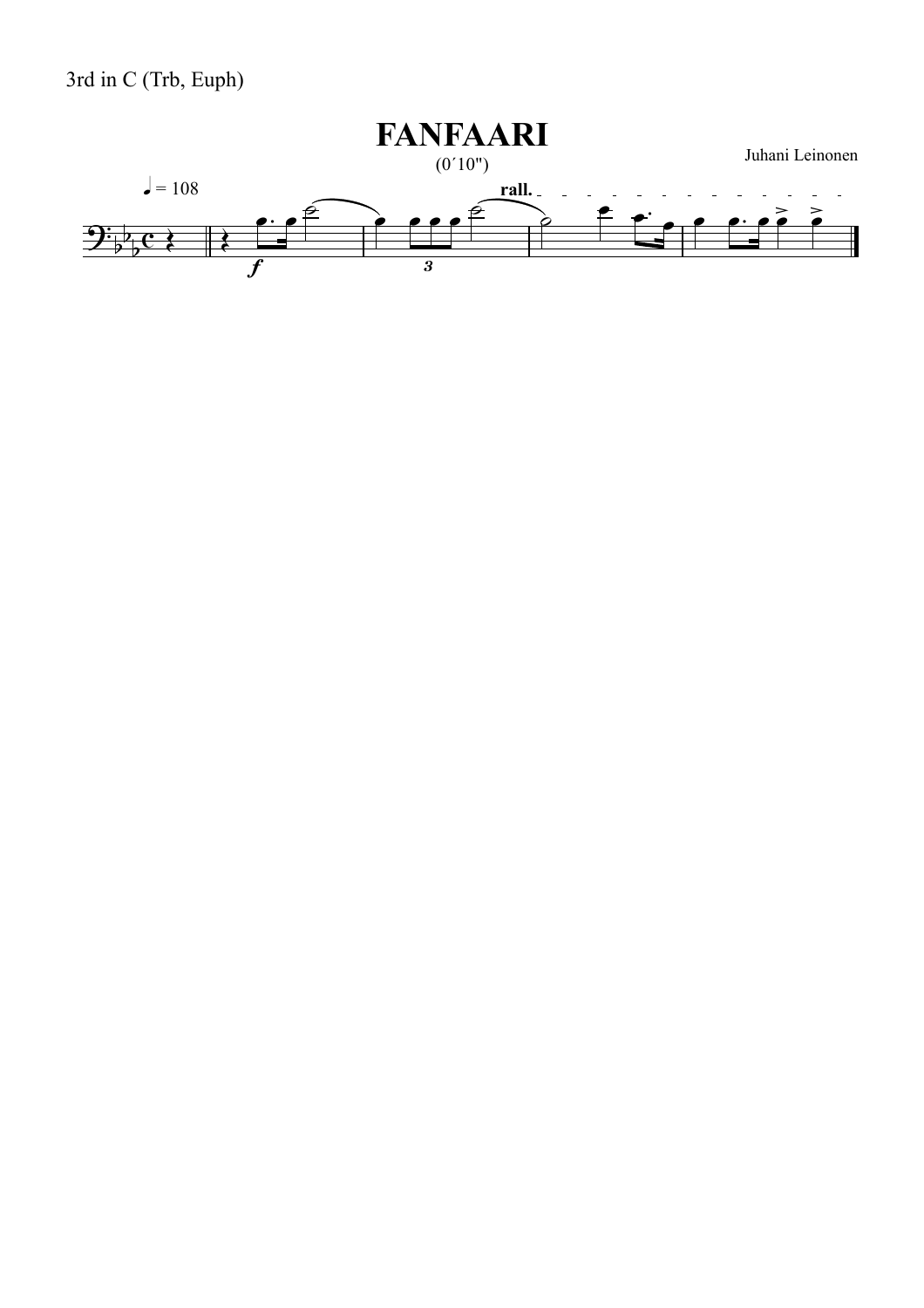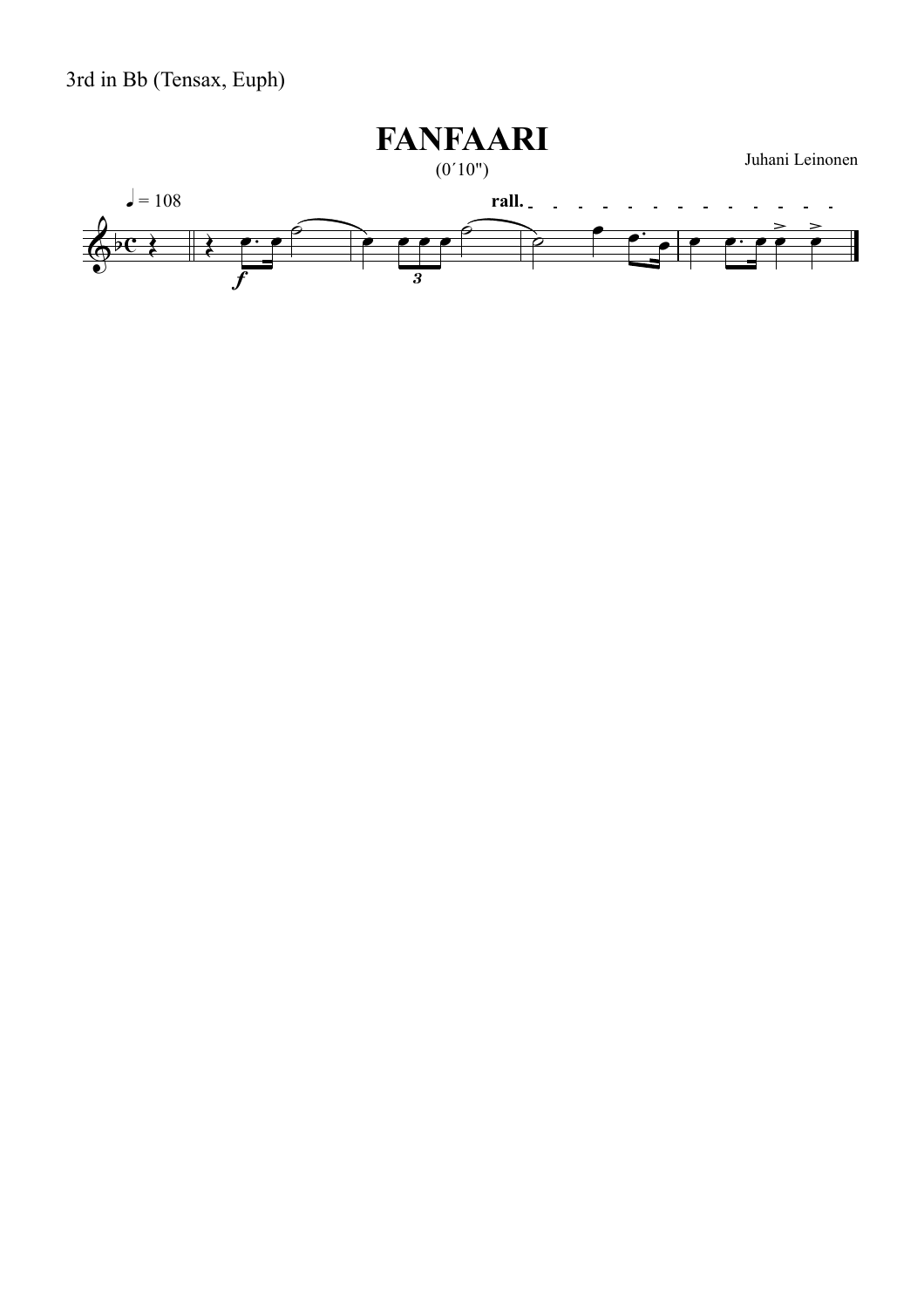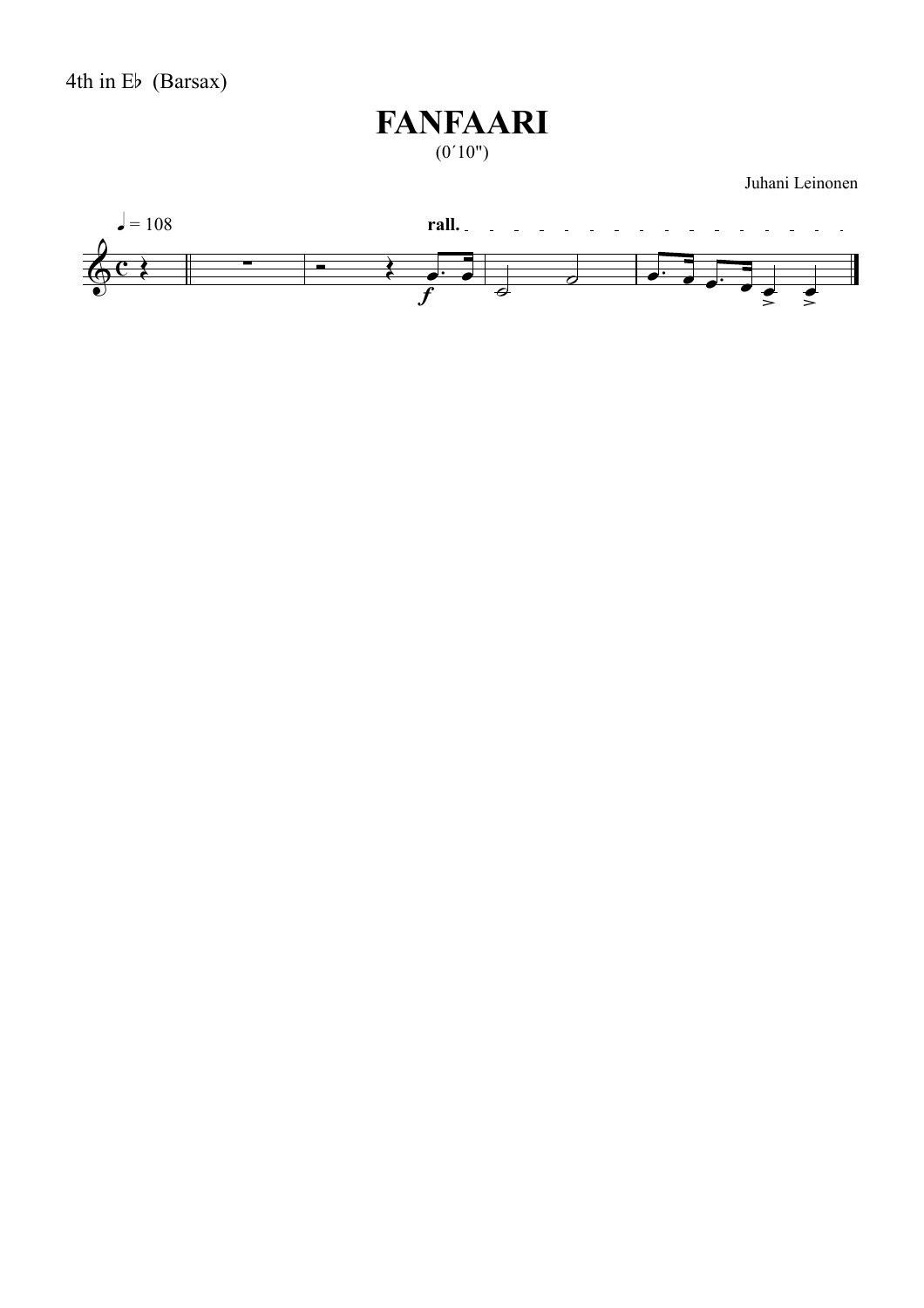#### **FANFAARI**  $(0'10")$

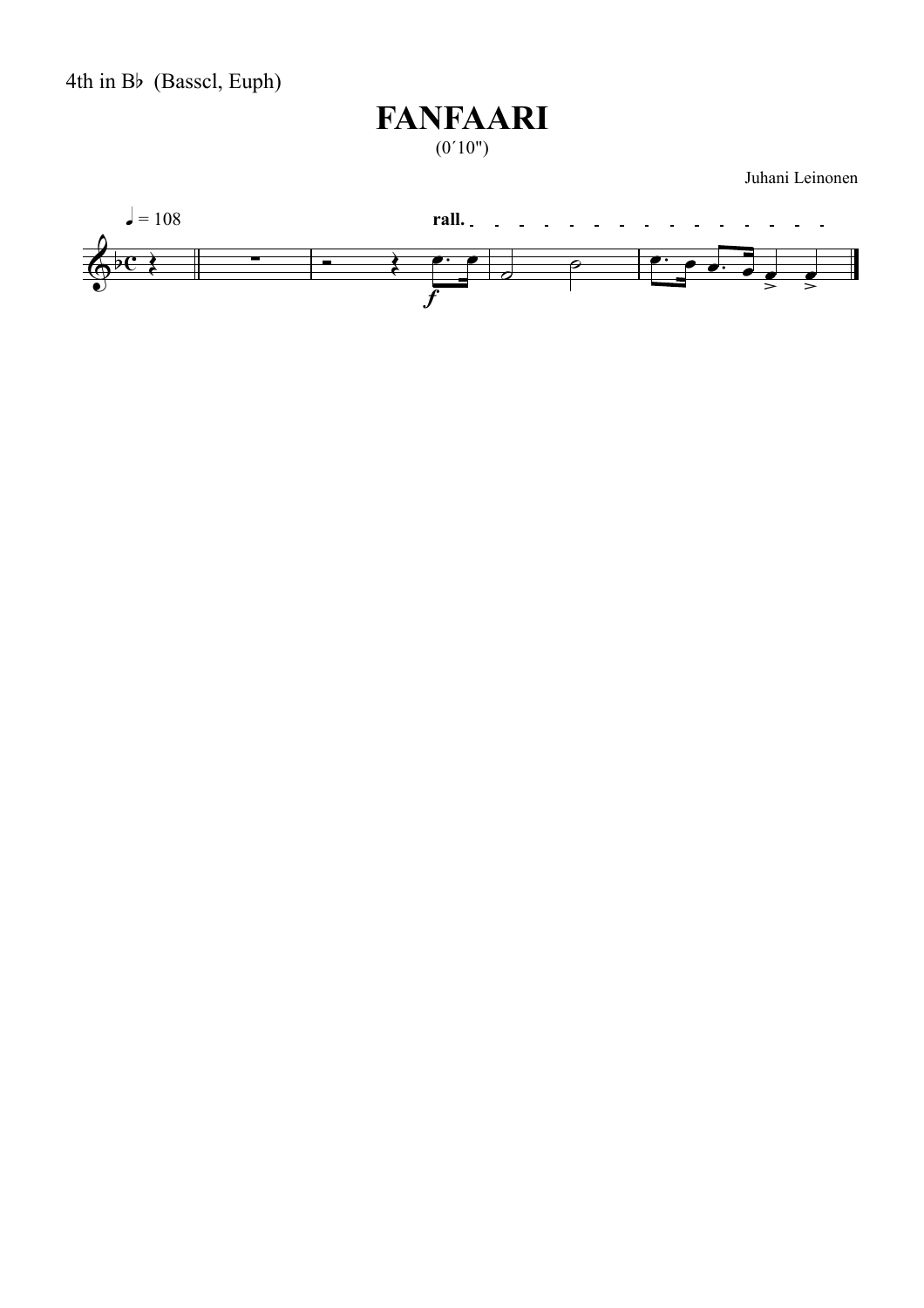4th in Bb (Basscl, Euph)

# **FANFAARI**

 $(0'10")$ 

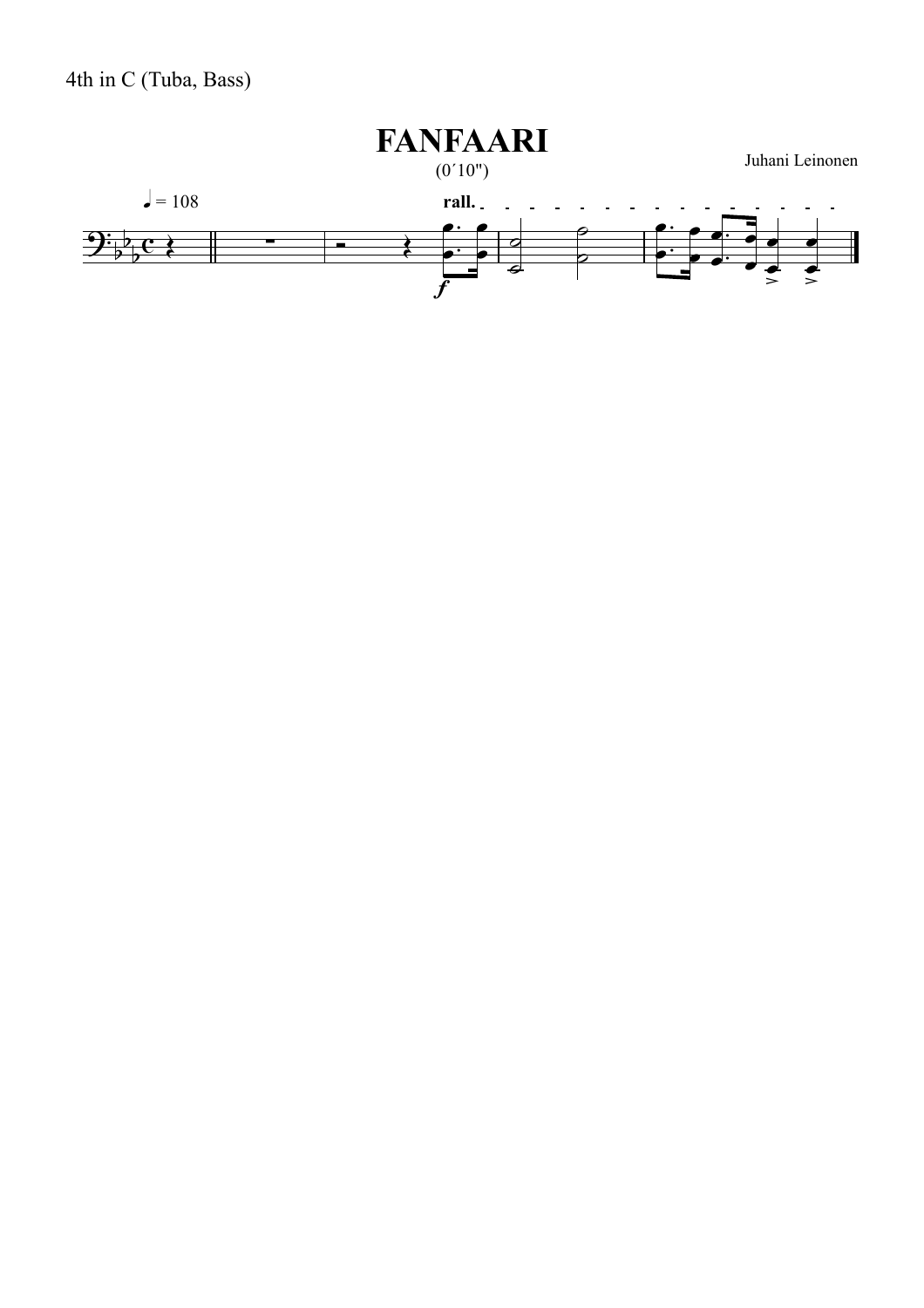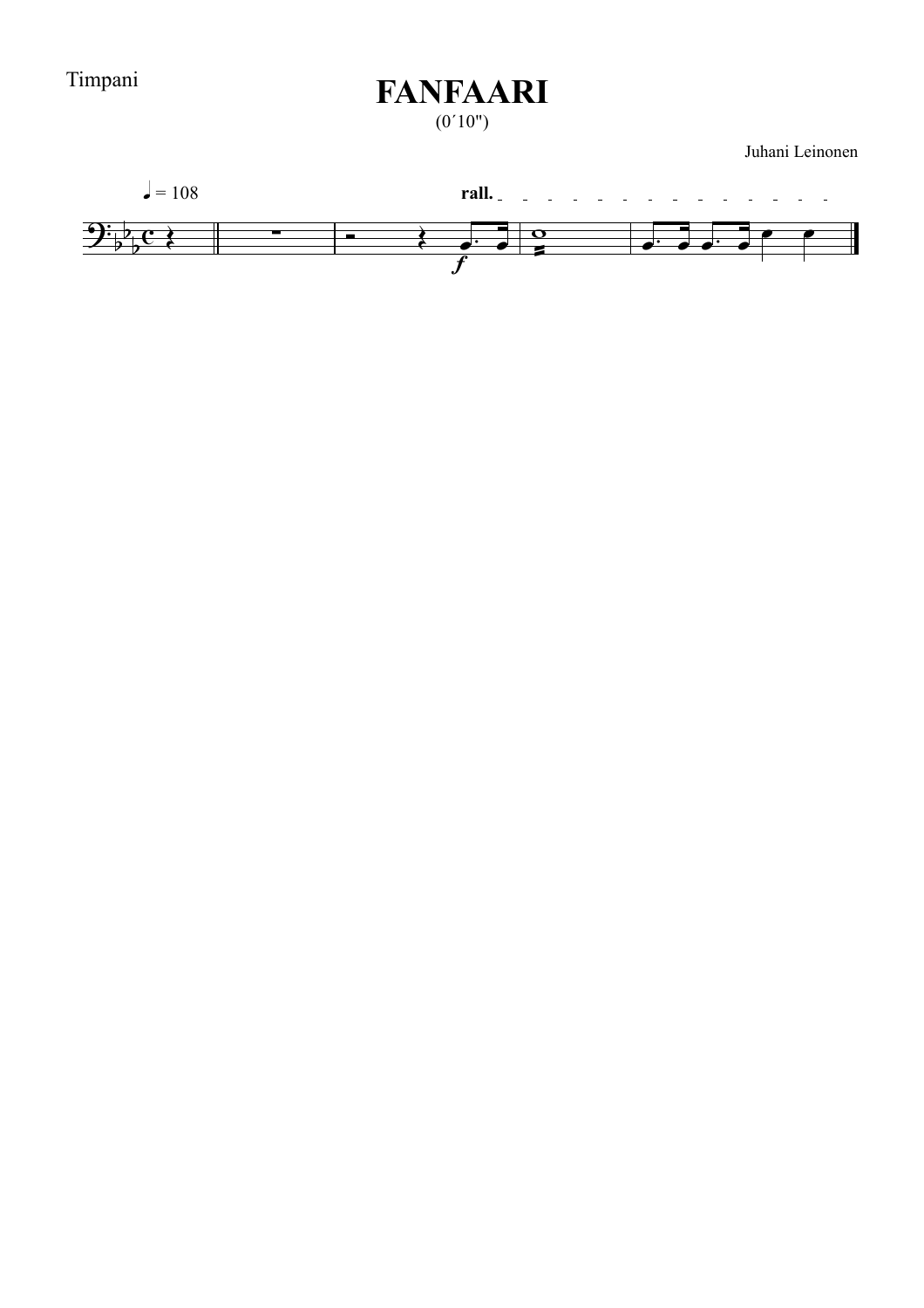Timpani

### **FANFAARI**

 $(0'10")$ 

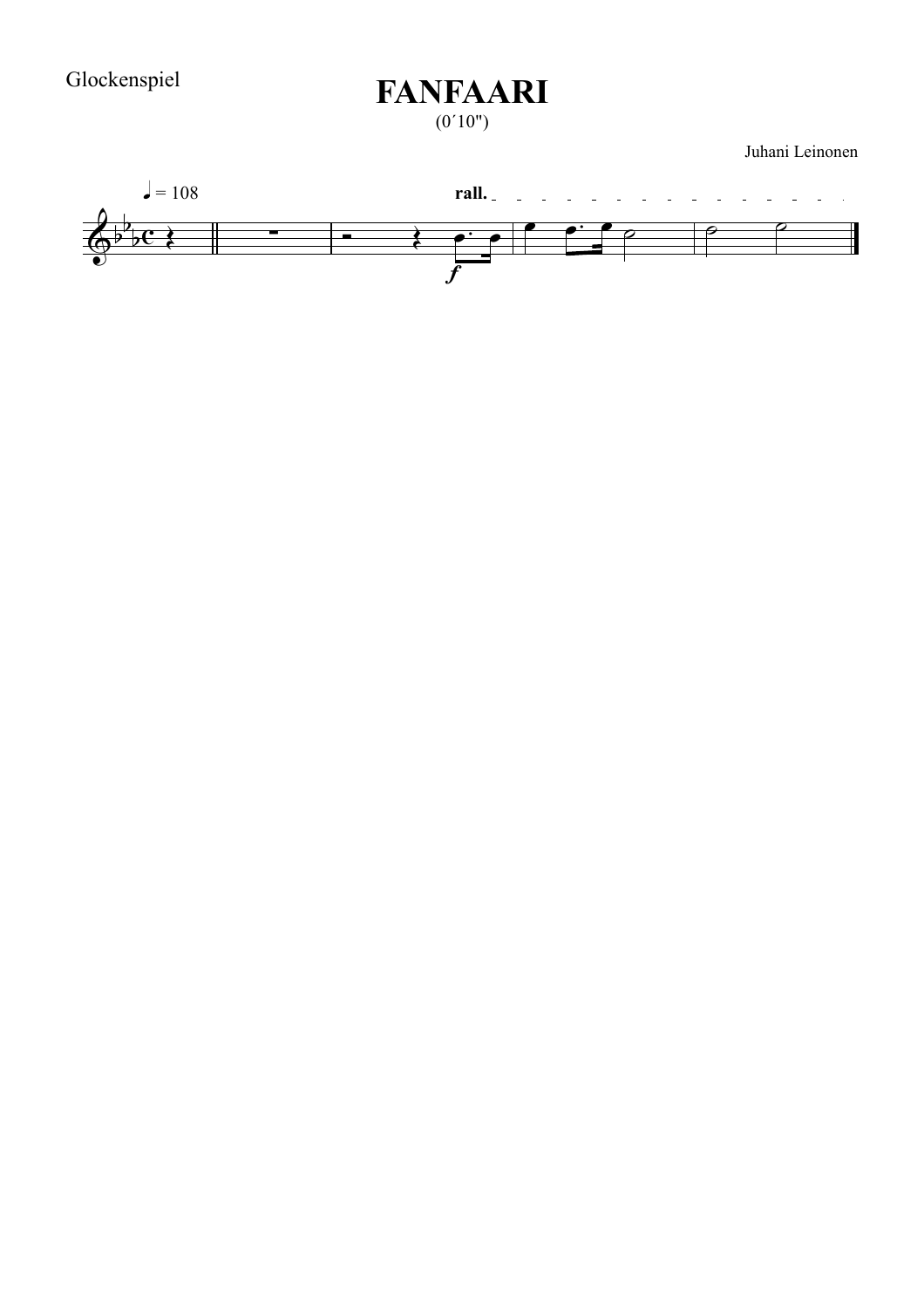$(0'10")$ 

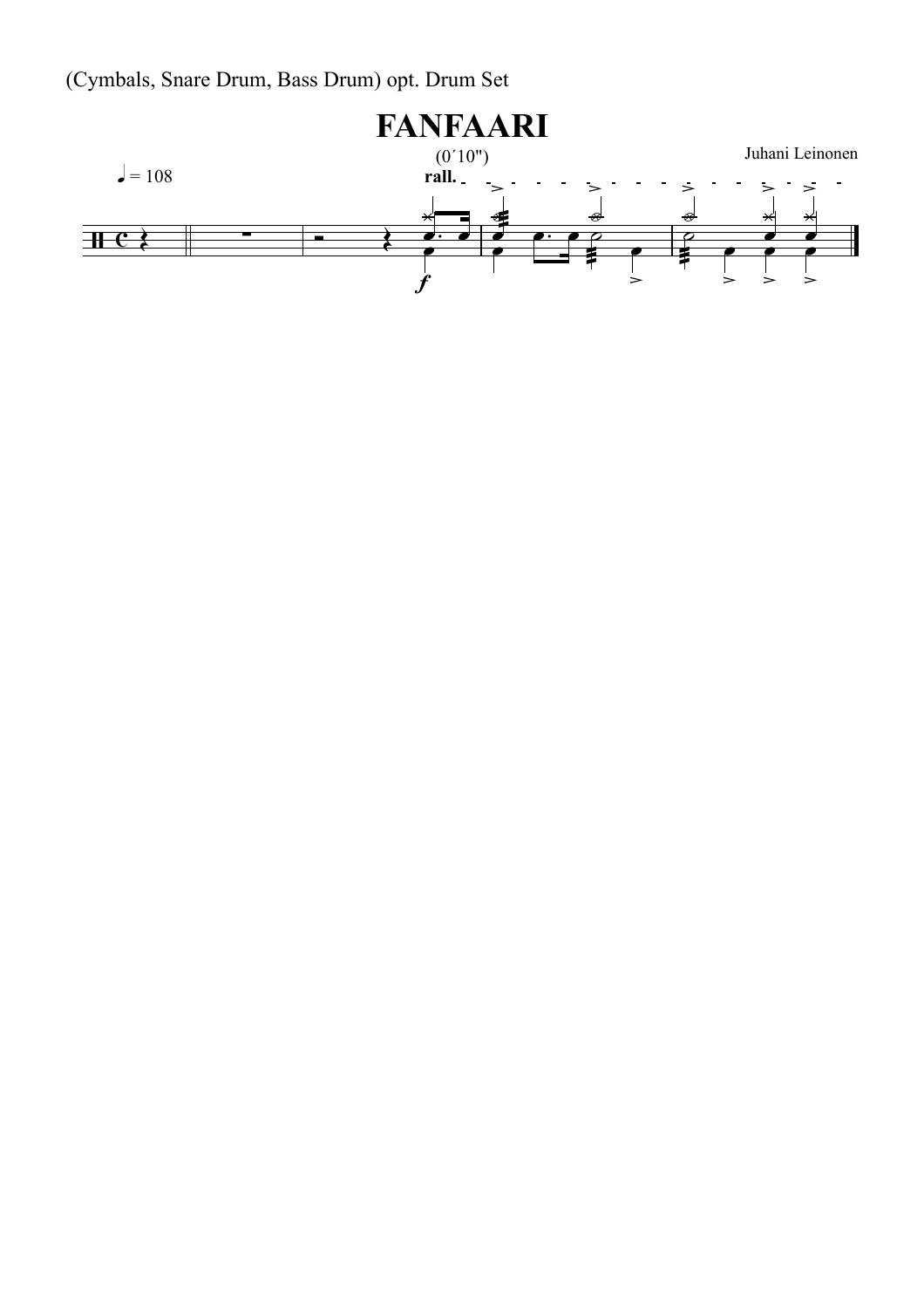